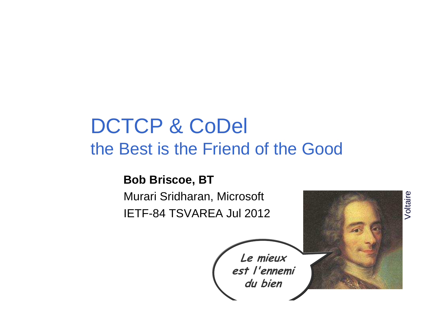## DCTCP & CoDelthe Best is the Friend of the Good

#### **Bob Briscoe, BT**

 Murari Sridharan, Microsoft IETF-84 TSVAREA Jul 2012



Voltaire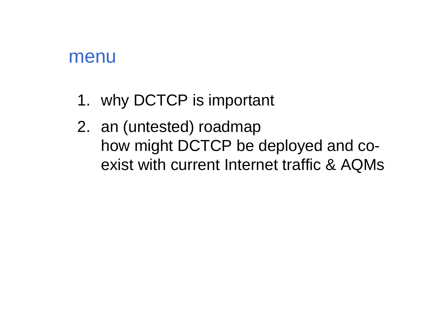### menu

- 1. why DCTCP is important
- 2. an (untested) roadmap how might DCTCP be deployed and coexist with current Internet traffic & AQMs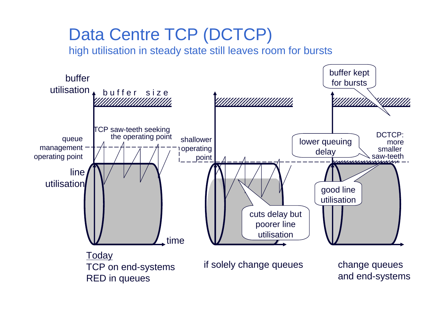## Data Centre TCP (DCTCP)

high utilisation in steady state still leaves room for bursts

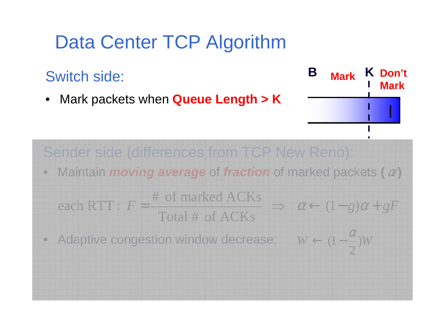## Data Center TCP Algorithm

Switch side:

• Mark packets when **Queue Length > K**

**B MarkK Don't Mark**

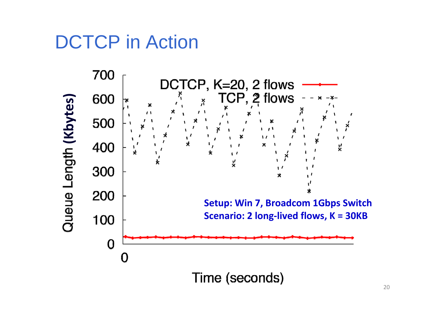## DCTCP in Action

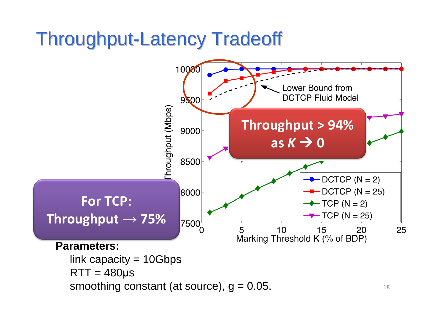## Throughput-Latency Tradeoff

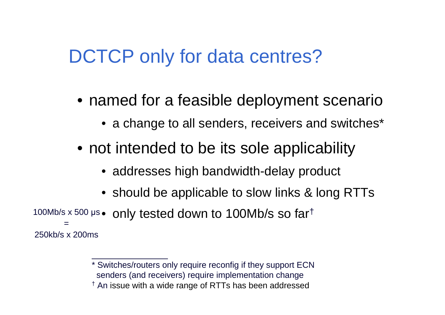## DCTCP only for data centres?

- named for a feasible deployment scenario
	- $\bullet\,$  a change to all senders, receivers and switches $^{\star}$
- not intended to be its sole applicability
	- addresses high bandwidth-delay product
	- should be applicable to slow links & long RTTs
- $\bullet\,$  only tested down to 100Mb/s so far $^\dagger$ 100Mb/s x 500 µ s=250kb/s x 200ms

<sup>\*</sup> Switches/routers only require reconfig if they support ECNsenders (and receivers) require implementation change

 $^\dagger$  An issue with a wide range of RTTs has been addressed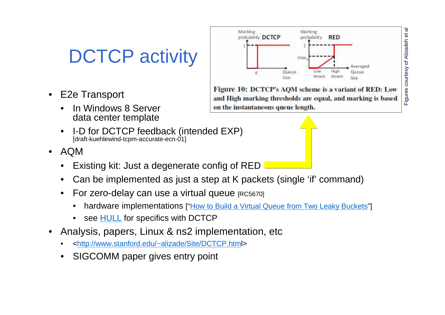## DCTCP activity

- • E2e Transport
	- • In Windows 8 Server data center template
	- I-D for DCTCP feedback (intended EXP) •[draft-kuehlewind-tcpm-accurate-ecn-01]
- AQM
	- Existing kit: Just a degenerate config of RED•
	- Can be implemented as just a step at K packets (single 'if' command)•
	- $\bullet$ For zero-delay can use a virtual queue [RC5670]
		- $\bullet$ hardware implementations ["How to Build a Virtual Queue from Two Leaky Buckets"]

Marking:

probability DCTCP

- $\bullet$ see **HULL** for specifics with DCTCP
- • Analysis, papers, Linux & ns2 implementation, etc
	- •<http://www.stanford.edu/~alizade/Site/DCTCP.html>
	- •SIGCOMM paper gives entry point



Marking

max

probability

**RED** 

 $\overline{\sigma}$ 

 $\vec{e}$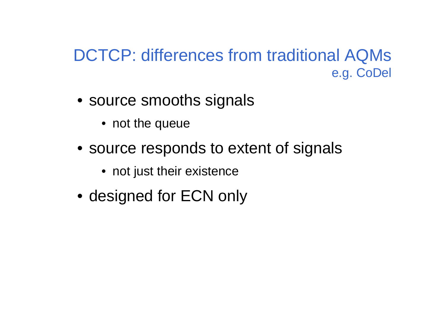### DCTCP: differences from traditional AQMse.g. CoDel

- source smooths signals
	- not the queue
- source responds to extent of signals
	- not just their existence
- designed for ECN only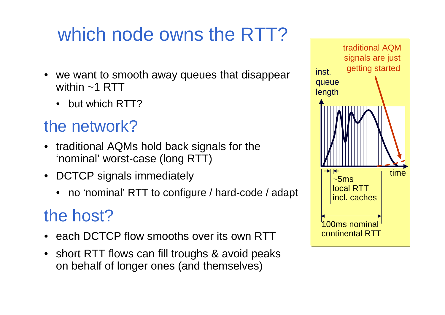# which node owns the RTT?

- we want to smooth away queues that disappear within ~1 RTT
	- but which RTT?

### the network?

- traditional AQMs hold back signals for the 'nominal' worst-case (long RTT)
- DCTCP signals immediately
	- no 'nominal' RTT to configure / hard-code / adapt

## the host?

- each DCTCP flow smooths over its own RTT
- short RTT flows can fill troughs & avoid peakson behalf of longer ones (and themselves)

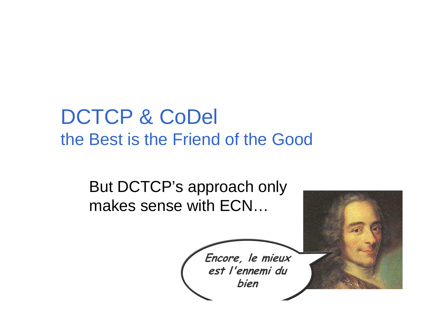## DCTCP & CoDelthe Best is the Friend of the Good

But DCTCP's approach onlymakes sense with ECN…

**Encore, le mieux est l'ennemi dubien**

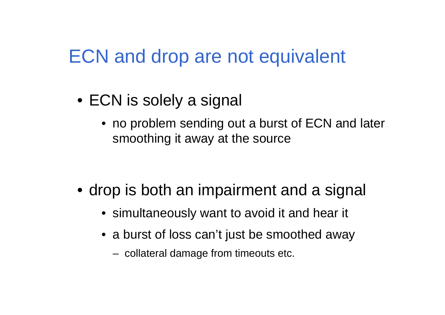## ECN and drop are not equivalent

- ECN is solely a signal
	- no problem sending out a burst of ECN and later smoothing it away at the source

- drop is both an impairment and a signal
	- simultaneously want to avoid it and hear it
	- a burst of loss can't just be smoothed away
		- collateral damage from timeouts etc.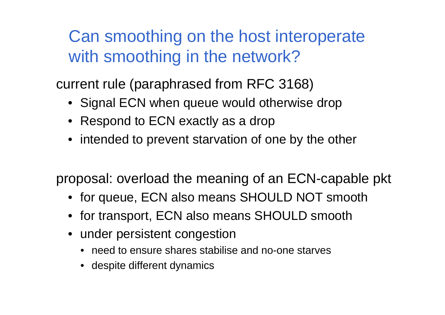Can smoothing on the host interoperate with smoothing in the network?

current rule (paraphrased from RFC 3168)

- Signal ECN when queue would otherwise drop
- Respond to ECN exactly as a drop
- intended to prevent starvation of one by the other

proposal: overload the meaning of an ECN-capable pkt

- for queue, ECN also means SHOULD NOT smooth
- for transport, ECN also means SHOULD smooth
- under persistent congestion
	- need to ensure shares stabilise and no-one starves
	- despite different dynamics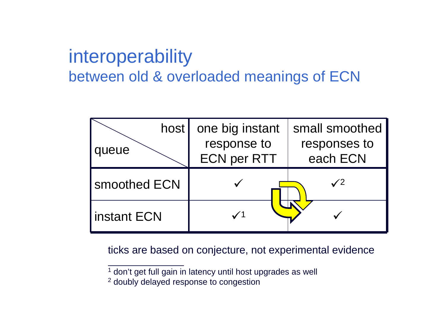## interoperability between old & overloaded meanings of ECN

| host  <br>queue | one big instant<br>response to<br><b>ECN per RTT</b> | small smoothed<br>responses to<br>each ECN |
|-----------------|------------------------------------------------------|--------------------------------------------|
| smoothed ECN    |                                                      | $\checkmark$                               |
| instant ECN     |                                                      |                                            |

ticks are based on conjecture, not experimental evidence

 $1$  don't get full gain in latency until host upgrades as well

 $2$  doubly delayed response to congestion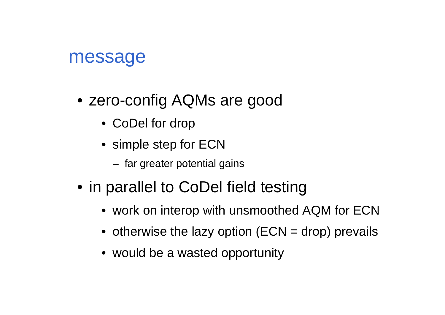### message

- zero-config AQMs are good
	- CoDel for drop
	- simple step for ECN
		- far greater potential gains
- in parallel to CoDel field testing
	- work on interop with unsmoothed AQM for ECN
	- $\bullet\,$  otherwise the lazy option (ECN = drop) prevails
	- would be a wasted opportunity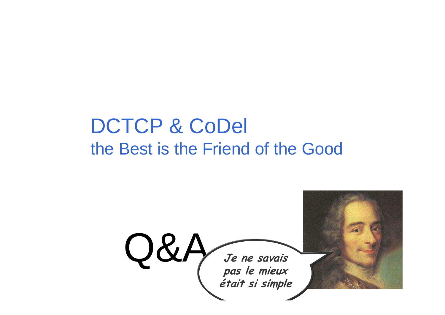## DCTCP & CoDelthe Best is the Friend of the Good

Q&A*Je ne savais***<br>pas le mieux<br>était si simple pas le mieux était si simple**